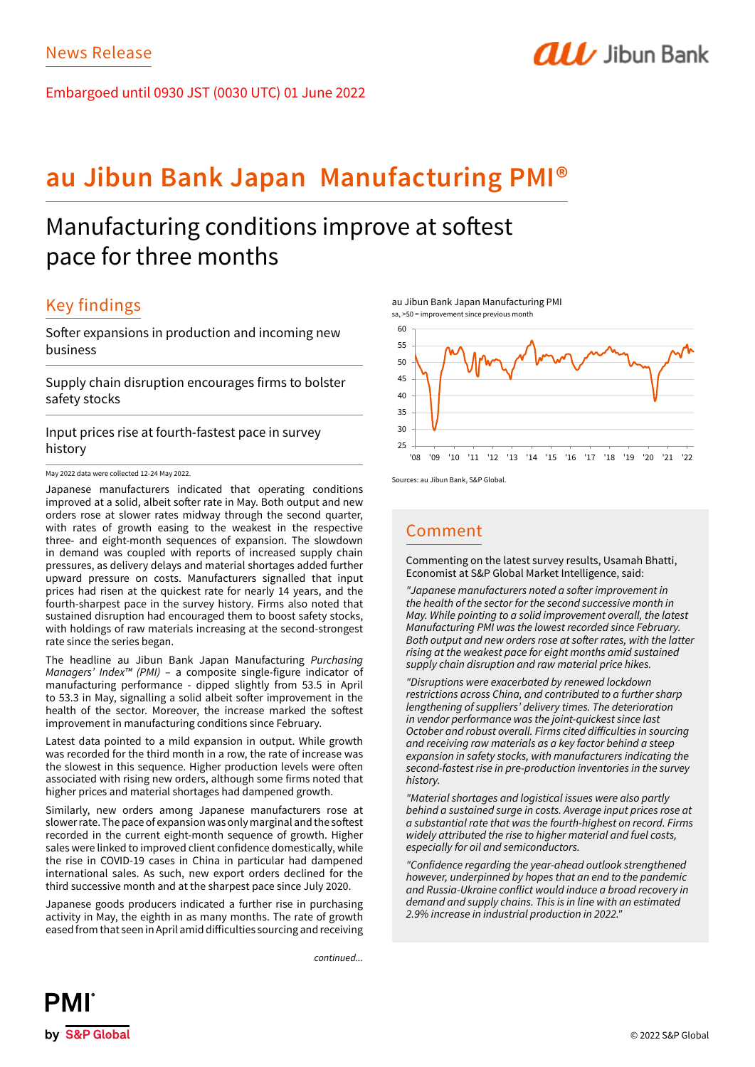Embargoed until 0930 JST (0030 UTC) 01 June 2022

# **au Jibun Bank Japan Manufacturing PMI®**

# Manufacturing conditions improve at softest pace for three months

# Key findings

Softer expansions in production and incoming new business

Supply chain disruption encourages firms to bolster safety stocks

Input prices rise at fourth-fastest pace in survey history

May 2022 data were collected 12-24 May 2022.

Japanese manufacturers indicated that operating conditions improved at a solid, albeit softer rate in May. Both output and new orders rose at slower rates midway through the second quarter, with rates of growth easing to the weakest in the respective three- and eight-month sequences of expansion. The slowdown in demand was coupled with reports of increased supply chain pressures, as delivery delays and material shortages added further upward pressure on costs. Manufacturers signalled that input prices had risen at the quickest rate for nearly 14 years, and the fourth-sharpest pace in the survey history. Firms also noted that sustained disruption had encouraged them to boost safety stocks, with holdings of raw materials increasing at the second-strongest rate since the series began.

The headline au Jibun Bank Japan Manufacturing *Purchasing Managers' Index™ (PMI)* – a composite single-figure indicator of manufacturing performance - dipped slightly from 53.5 in April to 53.3 in May, signalling a solid albeit softer improvement in the health of the sector. Moreover, the increase marked the softest improvement in manufacturing conditions since February.

Latest data pointed to a mild expansion in output. While growth was recorded for the third month in a row, the rate of increase was the slowest in this sequence. Higher production levels were often associated with rising new orders, although some firms noted that higher prices and material shortages had dampened growth.

Similarly, new orders among Japanese manufacturers rose at slower rate. The pace of expansion was only marginal and the softest recorded in the current eight-month sequence of growth. Higher sales were linked to improved client confidence domestically, while the rise in COVID-19 cases in China in particular had dampened international sales. As such, new export orders declined for the third successive month and at the sharpest pace since July 2020.

Japanese goods producers indicated a further rise in purchasing activity in May, the eighth in as many months. The rate of growth eased from that seen in April amid difficulties sourcing and receiving

*continued...*





**ALL** Jibun Bank

Sources: au Jibun Bank, S&P Global.

## Comment

Commenting on the latest survey results, Usamah Bhatti, Economist at S&P Global Market Intelligence, said:

"Japanese manufacturers noted a softer improvement in the health of the sector for the second successive month in May. While pointing to a solid improvement overall, the latest *Manufacturing PMI was the lowest recorded since February.*  Both output and new orders rose at softer rates, with the latter *rising at the weakest pace for eight months amid sustained supply chain disruption and raw material price hikes.*

*"Disruptions were exacerbated by renewed lockdown*  restrictions across China, and contributed to a further sharp lengthening of suppliers' delivery times. The deterioration in vendor performance was the joint-quickest since last October and robust overall. Firms cited difficulties in sourcing and receiving raw materials as a key factor behind a steep expansion in safety stocks, with manufacturers indicating the second-fastest rise in pre-production inventories in the survey *history.*

*"Material shortages and logistical issues were also partly*  behind a sustained surge in costs. Average input prices rose at a substantial rate that was the fourth-highest on record. Firms widely attributed the rise to higher material and fuel costs, *especially for oil and semiconductors.* 

"Confidence regarding the year-ahead outlook strengthened however, underpinned by hopes that an end to the pandemic and Russia-Ukraine conflict would induce a broad recovery in demand and supply chains. This is in line with an estimated *2.9% increase in industrial production in 2022."*